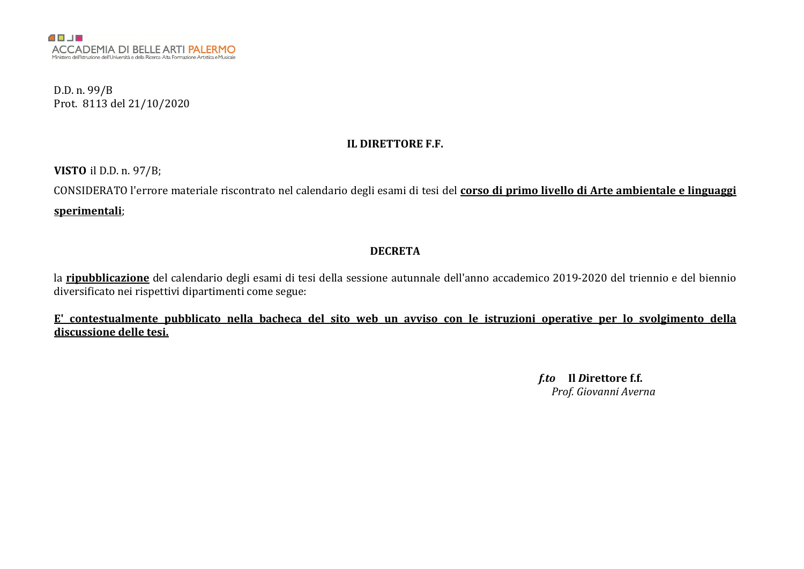D.D. n. 99/B Prot. 8113 del 21/10/2020

#### IL DIRETTORE F.F.

VISTO il D.D. n. 97/B;

CONSIDERATO l'errore materiale riscontrato nel calendario degli esami di tesi del corso di primo livello di Arte ambientale e linguaggi sperimentali;

#### DECRETA

la ripubblicazione del calendario degli esami di tesi della sessione autunnale dell'anno accademico 2019-2020 del triennio e del biennio diversificato nei rispettivi dipartimenti come segue:

E' contestualmente pubblicato nella bacheca del sito web un avviso con le istruzioni operative per lo svolgimento della discussione delle tesi.

> *f.to* Il *D*irettore f.f. *Prof. Giovanni Averna*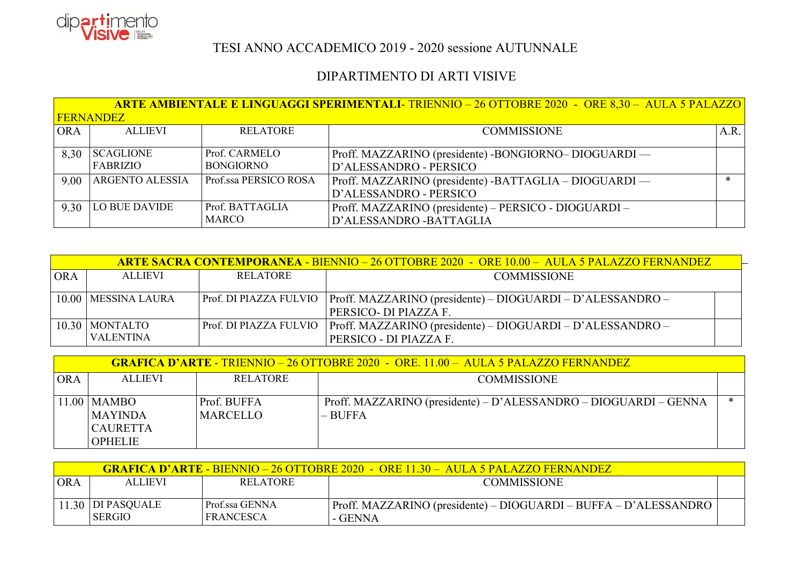

## TESI ANNO ACCADEMICO 2019 - 2020 sessione AUTUNNALE

## DIPARTIMENTO DI ARTI VISIVE

|            |                              |                                   | <b>ARTE AMBIENTALE E LINGUAGGI SPERIMENTALI- TRIENNIO – 26 OTTOBRE 2020 - ORE 8,30 – AULA 5 PALAZZO</b> |        |
|------------|------------------------------|-----------------------------------|---------------------------------------------------------------------------------------------------------|--------|
|            | <b>FERNANDEZ</b>             |                                   |                                                                                                         |        |
| <b>ORA</b> | <b>ALLIEVI</b>               | <b>RELATORE</b>                   | <b>COMMISSIONE</b>                                                                                      | A.R.   |
| 8,30       | <b>SCAGLIONE</b><br>FABRIZIO | Prof. CARMELO<br><b>BONGIORNO</b> | Proff. MAZZARINO (presidente) - BONGIORNO- DIOGUARDI —<br>D'ALESSANDRO - PERSICO                        |        |
| 9.00       | <b>ARGENTO ALESSIA</b>       | Prof.ssa PERSICO ROSA             | Proff. MAZZARINO (presidente) - BATTAGLIA - DIOGUARDI —<br>D'ALESSANDRO - PERSICO                       | $\ast$ |
| 9.30       | LO BUE DAVIDE                | Prof. BATTAGLIA<br><b>MARCO</b>   | Proff. MAZZARINO (presidente) – PERSICO - DIOGUARDI –<br>D'ALESSANDRO - BATTAGLIA                       |        |

|            |                       |                 | <u>ARTE SACRA CONTEMPORANEA - BIENNIO – 26 OTTOBRE 2020 - ORE 10.00 – AULA 5 PALAZZO FERNANDEZ</u> |  |
|------------|-----------------------|-----------------|----------------------------------------------------------------------------------------------------|--|
| <b>ORA</b> | <b>ALLIEVI</b>        | <b>RELATORE</b> | <b>COMMISSIONE</b>                                                                                 |  |
|            |                       |                 |                                                                                                    |  |
|            | 10.00   MESSINA LAURA |                 | Prof. DI PIAZZA FULVIO   Proff. MAZZARINO (presidente) – DIOGUARDI – D'ALESSANDRO –                |  |
|            |                       |                 | PERSICO- DI PIAZZA F.                                                                              |  |
|            | $10.30$ MONTALTO      |                 | Prof. DI PIAZZA FULVIO   Proff. MAZZARINO (presidente) – DIOGUARDI – D'ALESSANDRO –                |  |
|            | VALENTINA             |                 | PERSICO - DI PIAZZA F.                                                                             |  |

|            |                                                    |                                | <b>GRAFICA D'ARTE - TRIENNIO – 26 OTTOBRE 2020 – ORE. 11.00 – AULA 5 PALAZZO FERNANDEZ</b> |   |
|------------|----------------------------------------------------|--------------------------------|--------------------------------------------------------------------------------------------|---|
| <b>ORA</b> | <b>ALLIEVI</b>                                     | <b>RELATORE</b>                | <b>COMMISSIONE</b>                                                                         |   |
|            | $11.00$ MAMBO<br><b>MAYINDA</b><br><b>CAURETTA</b> | Prof. BUFFA<br><b>MARCELLO</b> | Proff. MAZZARINO (presidente) – D'ALESSANDRO – DIOGUARDI – GENNA<br>$-$ BUFFA              | ∗ |
|            | <b>OPHELIE</b>                                     |                                |                                                                                            |   |

|     |                                    |                             | <b>GRAFICA D'ARTE - BIENNIO – 26 OTTOBRE 2020  - ORE 11.30 – AULA 5 PALAZZO FERNANDEZ</b> |  |
|-----|------------------------------------|-----------------------------|-------------------------------------------------------------------------------------------|--|
| ORA | <b>ALLIEVI</b>                     | <b>RELATORE</b>             | <b>COMMISSIONE</b>                                                                        |  |
|     | 11.30 DI PASQUALE<br><b>SERGIO</b> | Prof.ssa GENNA<br>FRANCESCA | Proff. MAZZARINO (presidente) – DIOGUARDI – BUFFA – D'ALESSANDRO<br>- GENNA               |  |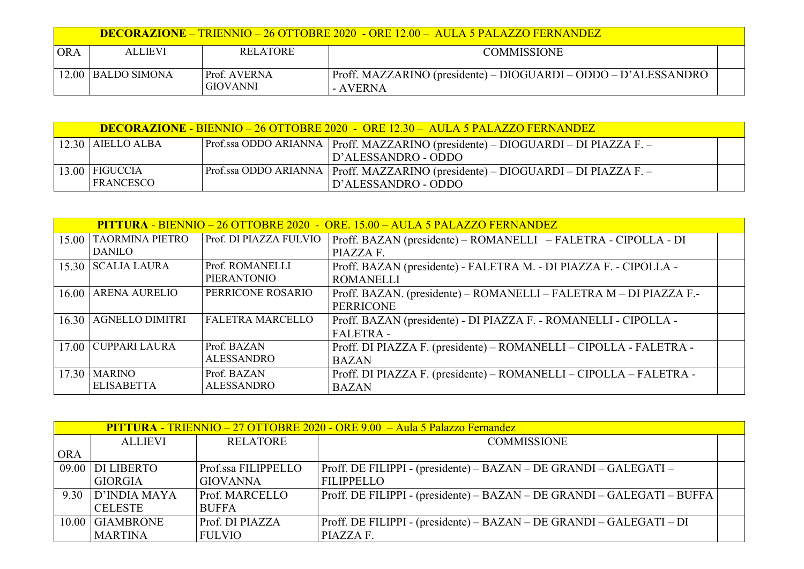|     |                      |                                 | <b>DECORAZIONE – TRIENNIO – 26 OTTOBRE 2020 - ORE 12.00 – AULA 5 PALAZZO FERNANDEZ</b> |  |
|-----|----------------------|---------------------------------|----------------------------------------------------------------------------------------|--|
| ORA | <b>ALLIEVI</b>       | <b>RELATORE</b>                 | <b>COMMISSIONE</b>                                                                     |  |
|     | $12.00$ BALDO SIMONA | Prof. AVERNA<br><b>GIOVANNI</b> | Proff. MAZZARINO (presidente) – DIOGUARDI – ODDO – D'ALESSANDRO<br>- AVERNA            |  |

| <b>DECORAZIONE - BIENNIO – 26 OTTOBRE 2020 - ORE 12.30 – AULA 5 PALAZZO FERNANDEZ</b> |  |                                                                                    |  |
|---------------------------------------------------------------------------------------|--|------------------------------------------------------------------------------------|--|
| $12.30$ AIELLO ALBA                                                                   |  | Prof.ssa ODDO ARIANNA   Proff. MAZZARINO (presidente) – DIOGUARDI – DI PIAZZA F. – |  |
|                                                                                       |  | D'ALESSANDRO - ODDO                                                                |  |
| $13.00$ FIGUCCIA                                                                      |  | Prof.ssa ODDO ARIANNA   Proff. MAZZARINO (presidente) – DIOGUARDI – DI PIAZZA F. – |  |
| <b>FRANCESCO</b>                                                                      |  | D'ALESSANDRO - ODDO                                                                |  |

|       |                        |                         | <b>PITTURA - BIENNIO – 26 OTTOBRE 2020 - ORE. 15.00 – AULA 5 PALAZZO FERNANDEZ</b> |  |
|-------|------------------------|-------------------------|------------------------------------------------------------------------------------|--|
| 15.00 | <b>TAORMINA PIETRO</b> | Prof. DI PIAZZA FULVIO  | Proff. BAZAN (presidente) – ROMANELLI – FALETRA - CIPOLLA - DI                     |  |
|       | <b>DANILO</b>          |                         | PIAZZA F.                                                                          |  |
|       | 15.30 SCALIA LAURA     | Prof. ROMANELLI         | Proff. BAZAN (presidente) - FALETRA M. - DI PIAZZA F. - CIPOLLA -                  |  |
|       |                        | <b>PIERANTONIO</b>      | <b>ROMANELLI</b>                                                                   |  |
| 16.00 | <b>ARENA AURELIO</b>   | PERRICONE ROSARIO       | Proff. BAZAN. (presidente) – ROMANELLI – FALETRA M – DI PIAZZA F.-                 |  |
|       |                        |                         | <b>PERRICONE</b>                                                                   |  |
| 16.30 | <b>AGNELLO DIMITRI</b> | <b>FALETRA MARCELLO</b> | Proff. BAZAN (presidente) - DI PIAZZA F. - ROMANELLI - CIPOLLA -                   |  |
|       |                        |                         | <b>FALETRA-</b>                                                                    |  |
|       | 17.00 CUPPARI LAURA    | Prof. BAZAN             | Proff. DI PIAZZA F. (presidente) – ROMANELLI – CIPOLLA - FALETRA -                 |  |
|       |                        | <b>ALESSANDRO</b>       | <b>BAZAN</b>                                                                       |  |
|       | $17.30$   MARINO       | Prof. BAZAN             | Proff. DI PIAZZA F. (presidente) – ROMANELLI – CIPOLLA – FALETRA -                 |  |
|       | <b>ELISABETTA</b>      | <b>ALESSANDRO</b>       | <b>BAZAN</b>                                                                       |  |

|            | <b>PITTURA - TRIENNIO – 27 OTTOBRE 2020 - ORE 9.00 – Aula 5 Palazzo Fernandez</b> |                       |                                                                         |
|------------|-----------------------------------------------------------------------------------|-----------------------|-------------------------------------------------------------------------|
|            | <b>ALLIEVI</b>                                                                    | <b>RELATORE</b>       | <b>COMMISSIONE</b>                                                      |
| <b>ORA</b> |                                                                                   |                       |                                                                         |
|            | $\mid$ 09.00 $\mid$ DI LIBERTO                                                    | Prof.ssa FILIPPELLO   | Proff. DE FILIPPI - (presidente) – BAZAN – DE GRANDI – GALEGATI –       |
|            | <b>GIORGIA</b>                                                                    | <b>GIOVANNA</b>       | <b>FILIPPELLO</b>                                                       |
| 9.30       | D'INDIA MAYA                                                                      | <b>Prof. MARCELLO</b> | Proff. DE FILIPPI - (presidente) – BAZAN – DE GRANDI – GALEGATI – BUFFA |
|            | <b>CELESTE</b>                                                                    | <b>BUFFA</b>          |                                                                         |
|            | 10.00 GIAMBRONE                                                                   | Prof. DI PIAZZA       | Proff. DE FILIPPI - (presidente) – BAZAN – DE GRANDI – GALEGATI – DI    |
|            | <b>MARTINA</b>                                                                    | <b>FULVIO</b>         | PIAZZA F.                                                               |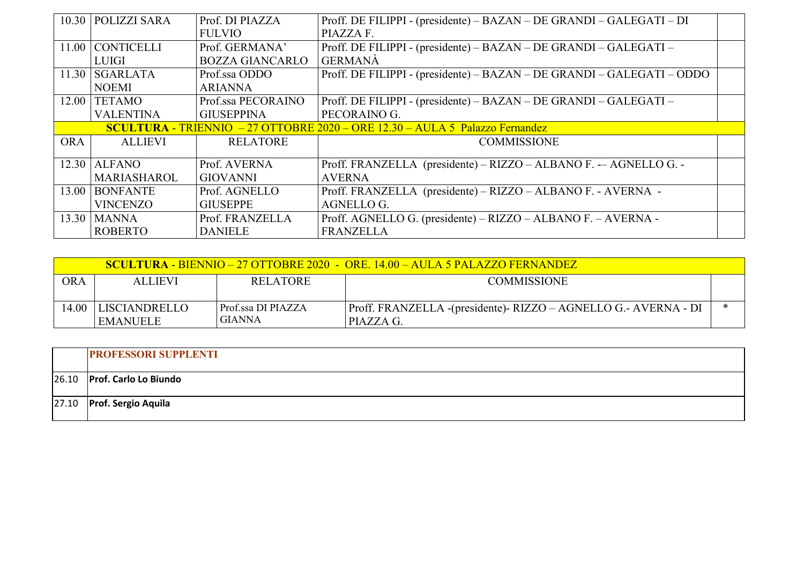| 10.30      | <b>POLIZZI SARA</b> | Prof. DI PIAZZA        | Proff. DE FILIPPI - (presidente) – BAZAN – DE GRANDI – GALEGATI – DI                 |  |
|------------|---------------------|------------------------|--------------------------------------------------------------------------------------|--|
|            |                     | <b>FULVIO</b>          | PIAZZA F.                                                                            |  |
|            | 11.00 CONTICELLI    | Prof. GERMANA'         | Proff. DE FILIPPI - (presidente) – BAZAN – DE GRANDI – GALEGATI –                    |  |
|            | <b>LUIGI</b>        | <b>BOZZA GIANCARLO</b> | <b>GERMANÀ</b>                                                                       |  |
|            | $11.30$ SGARLATA    | Prof.ssa ODDO          | Proff. DE FILIPPI - (presidente) – BAZAN – DE GRANDI – GALEGATI – ODDO               |  |
|            | <b>NOEMI</b>        | <b>ARIANNA</b>         |                                                                                      |  |
| 12.00      | <b>TETAMO</b>       | Prof.ssa PECORAINO     | Proff. DE FILIPPI - (presidente) – BAZAN – DE GRANDI – GALEGATI –                    |  |
|            | <b>VALENTINA</b>    | <b>GIUSEPPINA</b>      | PECORAINO G.                                                                         |  |
|            |                     |                        | <b>SCULTURA - TRIENNIO</b> $-27$ OTTOBRE 2020 - ORE 12.30 - AULA 5 Palazzo Fernandez |  |
| <b>ORA</b> | <b>ALLIEVI</b>      | <b>RELATORE</b>        | <b>COMMISSIONE</b>                                                                   |  |
|            |                     |                        |                                                                                      |  |
| 12.30      | <b>ALFANO</b>       | Prof. AVERNA           | Proff. FRANZELLA (presidente) – RIZZO – ALBANO F. -- AGNELLO G. -                    |  |
|            | <b>MARIASHAROL</b>  | <b>GIOVANNI</b>        | <b>AVERNA</b>                                                                        |  |
| 13.00      | <b>BONFANTE</b>     | Prof. AGNELLO          | Proff. FRANZELLA (presidente) – RIZZO – ALBANO F. - AVERNA -                         |  |
|            | <b>VINCENZO</b>     | <b>GIUSEPPE</b>        | <b>AGNELLO G.</b>                                                                    |  |
| 13.30      | <b>MANNA</b>        | Prof. FRANZELLA        | Proff. AGNELLO G. (presidente) – RIZZO – ALBANO F. – AVERNA -                        |  |
|            | <b>ROBERTO</b>      | <b>DANIELE</b>         | <b>FRANZELLA</b>                                                                     |  |

|      |                |                      | <b>SCULTURA - BIENNIO – 27 OTTOBRE 2020 - ORE. 14.00 – AULA 5 PALAZZO FERNANDEZ</b> |  |
|------|----------------|----------------------|-------------------------------------------------------------------------------------|--|
| ORA  | <b>ALLIEVI</b> | <b>RELATORE</b>      | <b>COMMISSIONE</b>                                                                  |  |
|      |                |                      |                                                                                     |  |
| 0.41 | LISCIANDRELLO  | l Prof.ssa DI PIAZZA | Proff. FRANZELLA -(presidente)- RIZZO – AGNELLO G.- AVERNA - DI                     |  |
|      | EMANUELE       | <b>GIANNA</b>        | PIAZZA G.                                                                           |  |

|       | <b>PROFESSORI SUPPLENTI</b>  |
|-------|------------------------------|
| 26.10 | <b>Prof. Carlo Lo Biundo</b> |
|       | 27.10 Prof. Sergio Aquila    |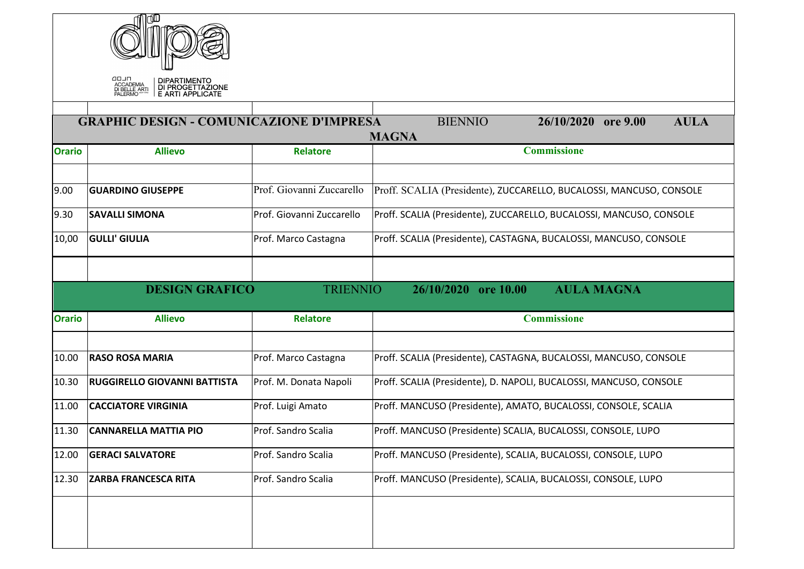|               | חנםם<br><b>DIPARTIMENTO</b><br>ACCADEMIA<br>DI BELLE ARTI<br>DI PROGETTAZIONE |                           |                                                                     |
|---------------|-------------------------------------------------------------------------------|---------------------------|---------------------------------------------------------------------|
|               | <b>GRAPHIC DESIGN - COMUNICAZIONE D'IMPRESA</b>                               |                           | <b>AULA</b><br><b>BIENNIO</b><br>26/10/2020 ore 9.00                |
| <b>Orario</b> | <b>Allievo</b>                                                                | <b>Relatore</b>           | <b>MAGNA</b><br><b>Commissione</b>                                  |
| 9.00          | <b>GUARDINO GIUSEPPE</b>                                                      | Prof. Giovanni Zuccarello | Proff. SCALIA (Presidente), ZUCCARELLO, BUCALOSSI, MANCUSO, CONSOLE |
| 9.30          | <b>SAVALLI SIMONA</b>                                                         | Prof. Giovanni Zuccarello | Proff. SCALIA (Presidente), ZUCCARELLO, BUCALOSSI, MANCUSO, CONSOLE |
| 10,00         | <b>GULLI' GIULIA</b>                                                          | Prof. Marco Castagna      | Proff. SCALIA (Presidente), CASTAGNA, BUCALOSSI, MANCUSO, CONSOLE   |
|               | <b>DESIGN GRAFICO</b>                                                         | <b>TRIENNIO</b>           | <b>AULA MAGNA</b><br>26/10/2020 ore 10.00                           |
|               |                                                                               |                           |                                                                     |
| <b>Orario</b> | <b>Allievo</b>                                                                | <b>Relatore</b>           | <b>Commissione</b>                                                  |
| 10.00         | <b>RASO ROSA MARIA</b>                                                        | Prof. Marco Castagna      | Proff. SCALIA (Presidente), CASTAGNA, BUCALOSSI, MANCUSO, CONSOLE   |
| 10.30         | <b>RUGGIRELLO GIOVANNI BATTISTA</b>                                           | Prof. M. Donata Napoli    | Proff. SCALIA (Presidente), D. NAPOLI, BUCALOSSI, MANCUSO, CONSOLE  |
| 11.00         | <b>CACCIATORE VIRGINIA</b>                                                    | Prof. Luigi Amato         | Proff. MANCUSO (Presidente), AMATO, BUCALOSSI, CONSOLE, SCALIA      |
| 11.30         | <b>CANNARELLA MATTIA PIO</b>                                                  | Prof. Sandro Scalia       | Proff. MANCUSO (Presidente) SCALIA, BUCALOSSI, CONSOLE, LUPO        |
| 12.00         | <b>GERACI SALVATORE</b>                                                       | Prof. Sandro Scalia       | Proff. MANCUSO (Presidente), SCALIA, BUCALOSSI, CONSOLE, LUPO       |
| 12.30         | <b>ZARBA FRANCESCA RITA</b>                                                   | Prof. Sandro Scalia       | Proff. MANCUSO (Presidente), SCALIA, BUCALOSSI, CONSOLE, LUPO       |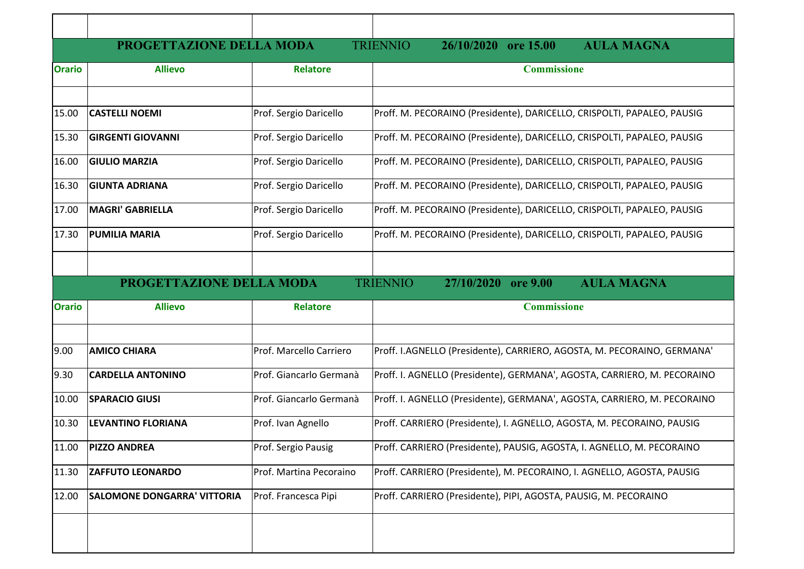|               | PROGETTAZIONE DELLA MODA           |                         | <b>TRIENNIO</b><br><b>AULA MAGNA</b><br>26/10/2020 ore 15.00             |
|---------------|------------------------------------|-------------------------|--------------------------------------------------------------------------|
| <b>Orario</b> | <b>Allievo</b>                     | <b>Relatore</b>         | <b>Commissione</b>                                                       |
|               |                                    |                         |                                                                          |
| 15.00         | <b>CASTELLI NOEMI</b>              | Prof. Sergio Daricello  | Proff. M. PECORAINO (Presidente), DARICELLO, CRISPOLTI, PAPALEO, PAUSIG  |
| 15.30         | <b>GIRGENTI GIOVANNI</b>           | Prof. Sergio Daricello  | Proff. M. PECORAINO (Presidente), DARICELLO, CRISPOLTI, PAPALEO, PAUSIG  |
| 16.00         | <b>GIULIO MARZIA</b>               | Prof. Sergio Daricello  | Proff. M. PECORAINO (Presidente), DARICELLO, CRISPOLTI, PAPALEO, PAUSIG  |
| 16.30         | <b>GIUNTA ADRIANA</b>              | Prof. Sergio Daricello  | Proff. M. PECORAINO (Presidente), DARICELLO, CRISPOLTI, PAPALEO, PAUSIG  |
| 17.00         | MAGRI' GABRIELLA                   | Prof. Sergio Daricello  | Proff. M. PECORAINO (Presidente), DARICELLO, CRISPOLTI, PAPALEO, PAUSIG  |
| 17.30         | <b>PUMILIA MARIA</b>               | Prof. Sergio Daricello  | Proff. M. PECORAINO (Presidente), DARICELLO, CRISPOLTI, PAPALEO, PAUSIG  |
|               |                                    |                         |                                                                          |
|               | PROGETTAZIONE DELLA MODA           |                         | <b>AULA MAGNA</b><br><b>TRIENNIO</b><br>27/10/2020 ore 9.00              |
| <b>Orario</b> | <b>Allievo</b>                     | <b>Relatore</b>         | <b>Commissione</b>                                                       |
| 9.00          | <b>AMICO CHIARA</b>                | Prof. Marcello Carriero | Proff. I.AGNELLO (Presidente), CARRIERO, AGOSTA, M. PECORAINO, GERMANA'  |
| 9.30          | <b>CARDELLA ANTONINO</b>           | Prof. Giancarlo Germanà | Proff. I. AGNELLO (Presidente), GERMANA', AGOSTA, CARRIERO, M. PECORAINO |
| 10.00         | <b>SPARACIO GIUSI</b>              | Prof. Giancarlo Germanà | Proff. I. AGNELLO (Presidente), GERMANA', AGOSTA, CARRIERO, M. PECORAINO |
| 10.30         | LEVANTINO FLORIANA                 | Prof. Ivan Agnello      | Proff. CARRIERO (Presidente), I. AGNELLO, AGOSTA, M. PECORAINO, PAUSIG   |
| 11.00         | <b>PIZZO ANDREA</b>                | Prof. Sergio Pausig     | Proff. CARRIERO (Presidente), PAUSIG, AGOSTA, I. AGNELLO, M. PECORAINO   |
| 11.30         | <b>ZAFFUTO LEONARDO</b>            | Prof. Martina Pecoraino | Proff. CARRIERO (Presidente), M. PECORAINO, I. AGNELLO, AGOSTA, PAUSIG   |
| 12.00         | <b>SALOMONE DONGARRA' VITTORIA</b> | Prof. Francesca Pipi    | Proff. CARRIERO (Presidente), PIPI, AGOSTA, PAUSIG, M. PECORAINO         |
|               |                                    |                         |                                                                          |
|               |                                    |                         |                                                                          |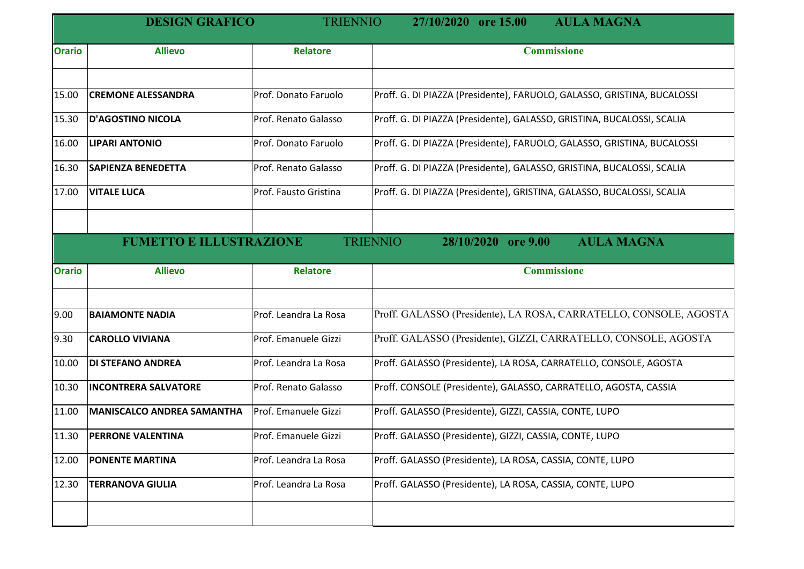|               | <b>DESIGN GRAFICO</b>          | <b>TRIENNIO</b>       | <b>AULA MAGNA</b><br>27/10/2020 ore 15.00                               |
|---------------|--------------------------------|-----------------------|-------------------------------------------------------------------------|
| <b>Orario</b> | <b>Allievo</b>                 | <b>Relatore</b>       | <b>Commissione</b>                                                      |
|               |                                |                       |                                                                         |
| 15.00         | <b>CREMONE ALESSANDRA</b>      | Prof. Donato Faruolo  | Proff. G. DI PIAZZA (Presidente), FARUOLO, GALASSO, GRISTINA, BUCALOSSI |
| 15.30         | <b>D'AGOSTINO NICOLA</b>       | Prof. Renato Galasso  | Proff. G. DI PIAZZA (Presidente), GALASSO, GRISTINA, BUCALOSSI, SCALIA  |
| 16.00         | <b>LIPARI ANTONIO</b>          | Prof. Donato Faruolo  | Proff. G. DI PIAZZA (Presidente), FARUOLO, GALASSO, GRISTINA, BUCALOSSI |
| 16.30         | <b>SAPIENZA BENEDETTA</b>      | Prof. Renato Galasso  | Proff. G. DI PIAZZA (Presidente), GALASSO, GRISTINA, BUCALOSSI, SCALIA  |
| 17.00         | <b>VITALE LUCA</b>             | Prof. Fausto Gristina | Proff. G. DI PIAZZA (Presidente), GRISTINA, GALASSO, BUCALOSSI, SCALIA  |
|               | <b>FUMETTO E ILLUSTRAZIONE</b> |                       | <b>TRIENNIO</b><br><b>AULA MAGNA</b><br>28/10/2020<br><b>ore 9.00</b>   |
|               |                                |                       |                                                                         |
| <b>Orario</b> | <b>Allievo</b>                 | <b>Relatore</b>       | <b>Commissione</b>                                                      |
| 9.00          | <b>BAIAMONTE NADIA</b>         | Prof. Leandra La Rosa | Proff. GALASSO (Presidente), LA ROSA, CARRATELLO, CONSOLE, AGOSTA       |
| 9.30          | <b>CAROLLO VIVIANA</b>         | Prof. Emanuele Gizzi  | Proff. GALASSO (Presidente), GIZZI, CARRATELLO, CONSOLE, AGOSTA         |
| 10.00         | <b>DI STEFANO ANDREA</b>       | Prof. Leandra La Rosa | Proff. GALASSO (Presidente), LA ROSA, CARRATELLO, CONSOLE, AGOSTA       |
| 10.30         | <b>INCONTRERA SALVATORE</b>    | Prof. Renato Galasso  | Proff. CONSOLE (Presidente), GALASSO, CARRATELLO, AGOSTA, CASSIA        |
| 11.00         | MANISCALCO ANDREA SAMANTHA     | Prof. Emanuele Gizzi  | Proff. GALASSO (Presidente), GIZZI, CASSIA, CONTE, LUPO                 |
| 11.30         | <b>PERRONE VALENTINA</b>       | Prof. Emanuele Gizzi  | Proff. GALASSO (Presidente), GIZZI, CASSIA, CONTE, LUPO                 |
| 12.00         | <b>PONENTE MARTINA</b>         | Prof. Leandra La Rosa | Proff. GALASSO (Presidente), LA ROSA, CASSIA, CONTE, LUPO               |
| 12.30         | <b>TERRANOVA GIULIA</b>        | Prof. Leandra La Rosa | Proff. GALASSO (Presidente), LA ROSA, CASSIA, CONTE, LUPO               |
|               |                                |                       |                                                                         |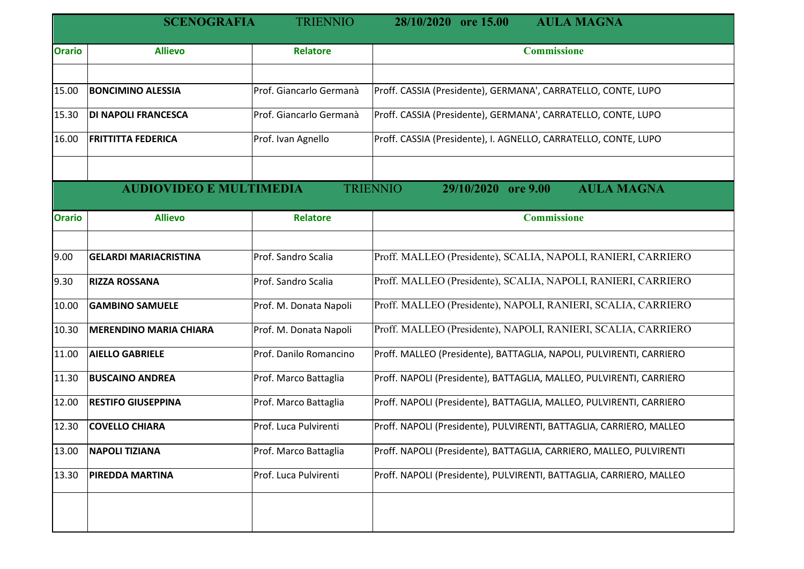|               | <b>SCENOGRAFIA</b>             | <b>TRIENNIO</b>         | <b>AULA MAGNA</b><br>28/10/2020 ore 15.00                           |
|---------------|--------------------------------|-------------------------|---------------------------------------------------------------------|
| <b>Orario</b> | <b>Allievo</b>                 | <b>Relatore</b>         | <b>Commissione</b>                                                  |
| 15.00         | <b>BONCIMINO ALESSIA</b>       | Prof. Giancarlo Germanà | Proff. CASSIA (Presidente), GERMANA', CARRATELLO, CONTE, LUPO       |
| 15.30         | <b>DI NAPOLI FRANCESCA</b>     | Prof. Giancarlo Germanà | Proff. CASSIA (Presidente), GERMANA', CARRATELLO, CONTE, LUPO       |
| 16.00         | <b>FRITTITTA FEDERICA</b>      | Prof. Ivan Agnello      | Proff. CASSIA (Presidente), I. AGNELLO, CARRATELLO, CONTE, LUPO     |
|               | <b>AUDIOVIDEO E MULTIMEDIA</b> |                         | <b>AULA MAGNA</b><br><b>TRIENNIO</b><br>29/10/2020 ore 9.00         |
| <b>Orario</b> | <b>Allievo</b>                 | <b>Relatore</b>         | <b>Commissione</b>                                                  |
| 9.00          | <b>GELARDI MARIACRISTINA</b>   | Prof. Sandro Scalia     | Proff. MALLEO (Presidente), SCALIA, NAPOLI, RANIERI, CARRIERO       |
| 9.30          | <b>RIZZA ROSSANA</b>           | Prof. Sandro Scalia     | Proff. MALLEO (Presidente), SCALIA, NAPOLI, RANIERI, CARRIERO       |
| 10.00         | <b>GAMBINO SAMUELE</b>         | Prof. M. Donata Napoli  | Proff. MALLEO (Presidente), NAPOLI, RANIERI, SCALIA, CARRIERO       |
| 10.30         | <b>MERENDINO MARIA CHIARA</b>  | Prof. M. Donata Napoli  | Proff. MALLEO (Presidente), NAPOLI, RANIERI, SCALIA, CARRIERO       |
| 11.00         | <b>AIELLO GABRIELE</b>         | Prof. Danilo Romancino  | Proff. MALLEO (Presidente), BATTAGLIA, NAPOLI, PULVIRENTI, CARRIERO |
| 11.30         | <b>BUSCAINO ANDREA</b>         | Prof. Marco Battaglia   | Proff. NAPOLI (Presidente), BATTAGLIA, MALLEO, PULVIRENTI, CARRIERO |
| 12.00         | <b>RESTIFO GIUSEPPINA</b>      | Prof. Marco Battaglia   | Proff. NAPOLI (Presidente), BATTAGLIA, MALLEO, PULVIRENTI, CARRIERO |
| 12.30         | <b>COVELLO CHIARA</b>          | Prof. Luca Pulvirenti   | Proff. NAPOLI (Presidente), PULVIRENTI, BATTAGLIA, CARRIERO, MALLEO |
| 13.00         | <b>NAPOLI TIZIANA</b>          | Prof. Marco Battaglia   | Proff. NAPOLI (Presidente), BATTAGLIA, CARRIERO, MALLEO, PULVIRENTI |
| 13.30         | <b>PIREDDA MARTINA</b>         | Prof. Luca Pulvirenti   | Proff. NAPOLI (Presidente), PULVIRENTI, BATTAGLIA, CARRIERO, MALLEO |
|               |                                |                         |                                                                     |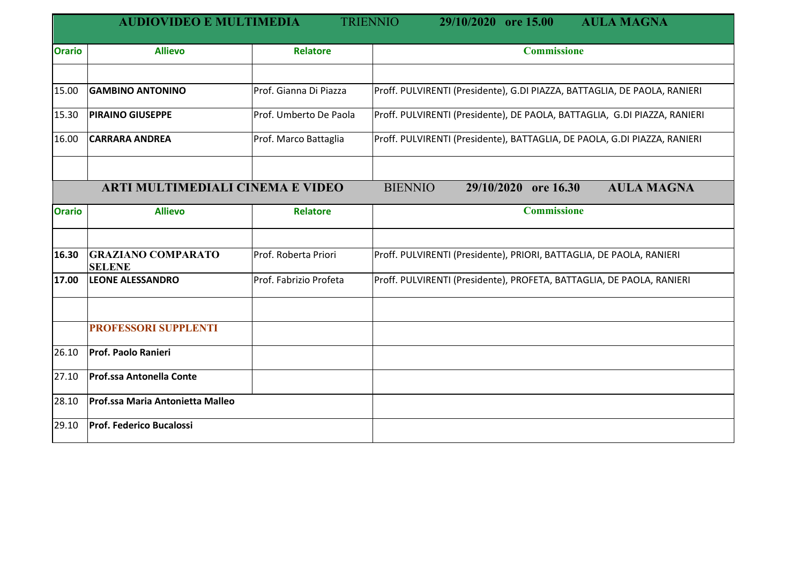|               | <b>AUDIOVIDEO E MULTIMEDIA</b>             |                        | <b>TRIENNIO</b><br><b>AULA MAGNA</b><br>29/10/2020 ore 15.00              |
|---------------|--------------------------------------------|------------------------|---------------------------------------------------------------------------|
| <b>Orario</b> | <b>Allievo</b>                             | <b>Relatore</b>        | <b>Commissione</b>                                                        |
|               |                                            |                        |                                                                           |
| 15.00         | <b>GAMBINO ANTONINO</b>                    | Prof. Gianna Di Piazza | Proff. PULVIRENTI (Presidente), G.DI PIAZZA, BATTAGLIA, DE PAOLA, RANIERI |
| 15.30         | <b>PIRAINO GIUSEPPE</b>                    | Prof. Umberto De Paola | Proff. PULVIRENTI (Presidente), DE PAOLA, BATTAGLIA, G.DI PIAZZA, RANIERI |
| 16.00         | <b>CARRARA ANDREA</b>                      | Prof. Marco Battaglia  | Proff. PULVIRENTI (Presidente), BATTAGLIA, DE PAOLA, G.DI PIAZZA, RANIERI |
|               |                                            |                        |                                                                           |
|               | <b>ARTI MULTIMEDIALI CINEMA E VIDEO</b>    |                        | <b>AULA MAGNA</b><br><b>BIENNIO</b><br>29/10/2020 ore 16.30               |
| <b>Orario</b> | <b>Allievo</b>                             | <b>Relatore</b>        | <b>Commissione</b>                                                        |
|               |                                            |                        |                                                                           |
| 16.30         | <b>GRAZIANO COMPARATO</b><br><b>SELENE</b> | Prof. Roberta Priori   | Proff. PULVIRENTI (Presidente), PRIORI, BATTAGLIA, DE PAOLA, RANIERI      |
| 17.00         | <b>LEONE ALESSANDRO</b>                    | Prof. Fabrizio Profeta | Proff. PULVIRENTI (Presidente), PROFETA, BATTAGLIA, DE PAOLA, RANIERI     |
|               |                                            |                        |                                                                           |
|               | <b>PROFESSORI SUPPLENTI</b>                |                        |                                                                           |
| 26.10         | <b>Prof. Paolo Ranieri</b>                 |                        |                                                                           |
| 27.10         | <b>Prof.ssa Antonella Conte</b>            |                        |                                                                           |
| 28.10         | Prof.ssa Maria Antonietta Malleo           |                        |                                                                           |
| 29.10         | <b>Prof. Federico Bucalossi</b>            |                        |                                                                           |